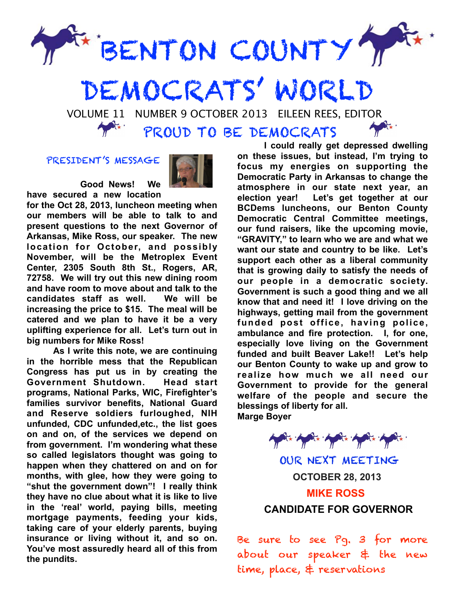

## DEMOCRATS' WORLD

 VOLUME 11 NUMBER 9 OCTOBER 2013 EILEEN REES, EDITOR PROUD TO BE DEMOCRATS

## PRESIDENT'S MESSAGE



 **Good News! We have secured a new location** 

**for the Oct 28, 2013, luncheon meeting when our members will be able to talk to and present questions to the next Governor of Arkansas, Mike Ross, our speaker. The new location for October, and possibly November, will be the Metroplex Event Center, 2305 South 8th St., Rogers, AR, 72758. We will try out this new dining room and have room to move about and talk to the candidates staff as well. We will be increasing the price to \$15. The meal will be catered and we plan to have it be a very uplifting experience for all. Let's turn out in big numbers for Mike Ross!** 

 **As I write this note, we are continuing in the horrible mess that the Republican Congress has put us in by creating the Government Shutdown. Head start programs, National Parks, WIC, Firefighter's families survivor benefits, National Guard and Reserve soldiers furloughed, NIH unfunded, CDC unfunded,etc., the list goes on and on, of the services we depend on from government. I'm wondering what these so called legislators thought was going to happen when they chattered on and on for months, with glee, how they were going to "shut the government down"! I really think they have no clue about what it is like to live in the 'real' world, paying bills, meeting mortgage payments, feeding your kids, taking care of your elderly parents, buying insurance or living without it, and so on. You've most assuredly heard all of this from the pundits.**

 **I could really get depressed dwelling on these issues, but instead, I'm trying to focus my energies on supporting the Democratic Party in Arkansas to change the atmosphere in our state next year, an election year! Let's get together at our BCDems luncheons, our Benton County Democratic Central Committee meetings, our fund raisers, like the upcoming movie, "GRAVITY," to learn who we are and what we want our state and country to be like. Let's support each other as a liberal community that is growing daily to satisfy the needs of our people in a democratic society. Government is such a good thing and we all know that and need it! I love driving on the highways, getting mail from the government funded post office, having police, ambulance and fire protection. I, for one, especially love living on the Government funded and built Beaver Lake!! Let's help our Benton County to wake up and grow to realize how much we all need our Government to provide for the general welfare of the people and secure the blessings of liberty for all. Marge Boyer** 



OUR NEXT MEETING  **OCTOBER 28, 2013 MIKE ROSS CANDIDATE FOR GOVERNOR**

Be sure to see Pg. 3 for more about our speaker & the new time, place, & reservations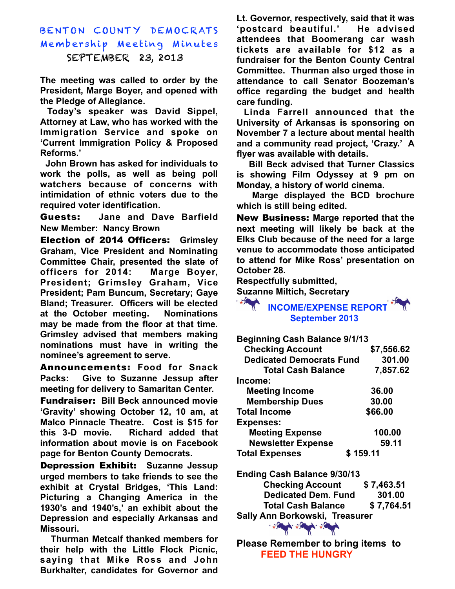BENTON COUNTY DEMOCRATS Membership Meeting Minutes SEPTEMBER 23, 2013

**The meeting was called to order by the President, Marge Boyer, and opened with the Pledge of Allegiance.** 

 **Today's speaker was David Sippel, Attorney at Law, who has worked with the Immigration Service and spoke on 'Current Immigration Policy & Proposed Reforms.'** 

 **John Brown has asked for individuals to work the polls, as well as being poll watchers because of concerns with intimidation of ethnic voters due to the required voter identification.** 

Guests: **Jane and Dave Barfield New Member: Nancy Brown** 

Election of 2014 Officers: **Grimsley Graham, Vice President and Nominating Committee Chair, presented the slate of officers for 2014: Marge Boyer, President; Grimsley Graham, Vice President; Pam Buncum, Secretary; Gaye Bland; Treasurer. Officers will be elected at the October meeting. Nominations may be made from the floor at that time. Grimsley advised that members making nominations must have in writing the nominee's agreement to serve.**

Announcements: **Food for Snack Packs: Give to Suzanne Jessup after meeting for delivery to Samaritan Center.** 

Fundraiser: **Bill Beck announced movie 'Gravity' showing October 12, 10 am, at Malco Pinnacle Theatre. Cost is \$15 for this 3-D movie. Richard added that information about movie is on Facebook page for Benton County Democrats.**

Depression Exhibit: **Suzanne Jessup urged members to take friends to see the exhibit at Crystal Bridges, 'This Land: Picturing a Changing America in the 1930's and 1940's,' an exhibit about the Depression and especially Arkansas and Missouri.** 

 **Thurman Metcalf thanked members for their help with the Little Flock Picnic, saying that Mike Ross and John Burkhalter, candidates for Governor and**  **Lt. Governor, respectively, said that it was 'postcard beautiful.' He advised attendees that Boomerang car wash tickets are available for \$12 as a fundraiser for the Benton County Central Committee. Thurman also urged those in attendance to call Senator Boozeman's office regarding the budget and health care funding.** 

 **Linda Farrell announced that the University of Arkansas is sponsoring on November 7 a lecture about mental health and a community read project, 'Crazy.' A flyer was available with details.** 

 **Bill Beck advised that Turner Classics is showing Film Odyssey at 9 pm on Monday, a history of world cinema.** 

 **Marge displayed the BCD brochure which is still being edited.** 

New Business: **Marge reported that the next meeting will likely be back at the Elks Club because of the need for a large venue to accommodate those anticipated to attend for Mike Ross' presentation on October 28.**

**Respectfully submitted,**

**Suzanne Miltich, Secretary**

 **INCOME/EXPENSE REPORT September 2013**

**Beginning Cash Balance 9/1/13**

| <b>Checking Account</b>         | \$7,556.62 |
|---------------------------------|------------|
| <b>Dedicated Democrats Fund</b> | 301.00     |
| <b>Total Cash Balance</b>       | 7,857.62   |
| Income:                         |            |
| <b>Meeting Income</b>           | 36.00      |
| <b>Membership Dues</b>          | 30.00      |
| <b>Total Income</b>             | \$66.00    |
| <b>Expenses:</b>                |            |
| <b>Meeting Expense</b>          | 100.00     |
| <b>Newsletter Expense</b>       | 59.11      |
| <b>Total Expenses</b>           | \$159.11   |
|                                 |            |

**Ending Cash Balance 9/30/13 Checking Account \$ 7,463.51 Dedicated Dem. Fund 301.00 Total Cash Balance \$ 7,764.51 Sally Ann Borkowski, Treasurer** 

**Please Remember to bring items to FEED THE HUNGRY** 

A. FA

☆ 六月